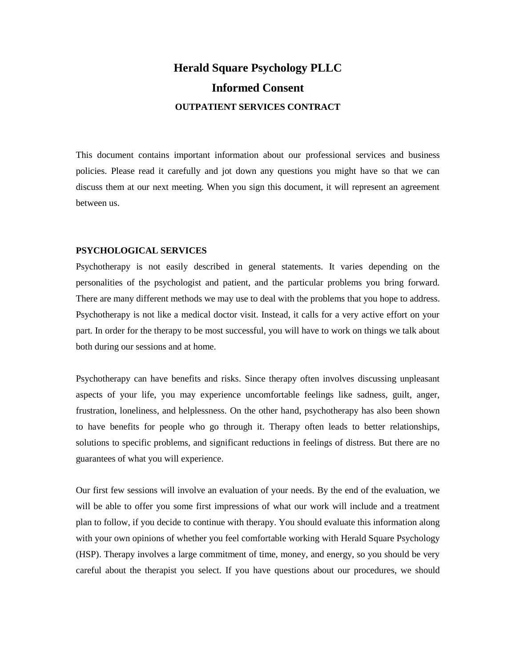# **Herald Square Psychology PLLC Informed Consent OUTPATIENT SERVICES CONTRACT**

This document contains important information about our professional services and business policies. Please read it carefully and jot down any questions you might have so that we can discuss them at our next meeting. When you sign this document, it will represent an agreement between us.

# **PSYCHOLOGICAL SERVICES**

Psychotherapy is not easily described in general statements. It varies depending on the personalities of the psychologist and patient, and the particular problems you bring forward. There are many different methods we may use to deal with the problems that you hope to address. Psychotherapy is not like a medical doctor visit. Instead, it calls for a very active effort on your part. In order for the therapy to be most successful, you will have to work on things we talk about both during our sessions and at home.

Psychotherapy can have benefits and risks. Since therapy often involves discussing unpleasant aspects of your life, you may experience uncomfortable feelings like sadness, guilt, anger, frustration, loneliness, and helplessness. On the other hand, psychotherapy has also been shown to have benefits for people who go through it. Therapy often leads to better relationships, solutions to specific problems, and significant reductions in feelings of distress. But there are no guarantees of what you will experience.

Our first few sessions will involve an evaluation of your needs. By the end of the evaluation, we will be able to offer you some first impressions of what our work will include and a treatment plan to follow, if you decide to continue with therapy. You should evaluate this information along with your own opinions of whether you feel comfortable working with Herald Square Psychology (HSP). Therapy involves a large commitment of time, money, and energy, so you should be very careful about the therapist you select. If you have questions about our procedures, we should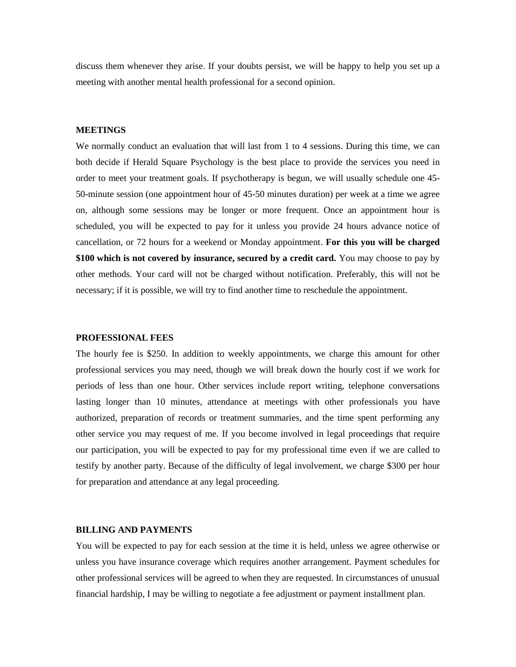discuss them whenever they arise. If your doubts persist, we will be happy to help you set up a meeting with another mental health professional for a second opinion.

# **MEETINGS**

We normally conduct an evaluation that will last from 1 to 4 sessions. During this time, we can both decide if Herald Square Psychology is the best place to provide the services you need in order to meet your treatment goals. If psychotherapy is begun, we will usually schedule one 45- 50-minute session (one appointment hour of 45-50 minutes duration) per week at a time we agree on, although some sessions may be longer or more frequent. Once an appointment hour is scheduled, you will be expected to pay for it unless you provide 24 hours advance notice of cancellation, or 72 hours for a weekend or Monday appointment. **For this you will be charged \$100 which is not covered by insurance, secured by a credit card.** You may choose to pay by other methods. Your card will not be charged without notification. Preferably, this will not be necessary; if it is possible, we will try to find another time to reschedule the appointment.

#### **PROFESSIONAL FEES**

The hourly fee is \$250. In addition to weekly appointments, we charge this amount for other professional services you may need, though we will break down the hourly cost if we work for periods of less than one hour. Other services include report writing, telephone conversations lasting longer than 10 minutes, attendance at meetings with other professionals you have authorized, preparation of records or treatment summaries, and the time spent performing any other service you may request of me. If you become involved in legal proceedings that require our participation, you will be expected to pay for my professional time even if we are called to testify by another party. Because of the difficulty of legal involvement, we charge \$300 per hour for preparation and attendance at any legal proceeding.

## **BILLING AND PAYMENTS**

You will be expected to pay for each session at the time it is held, unless we agree otherwise or unless you have insurance coverage which requires another arrangement. Payment schedules for other professional services will be agreed to when they are requested. In circumstances of unusual financial hardship, I may be willing to negotiate a fee adjustment or payment installment plan.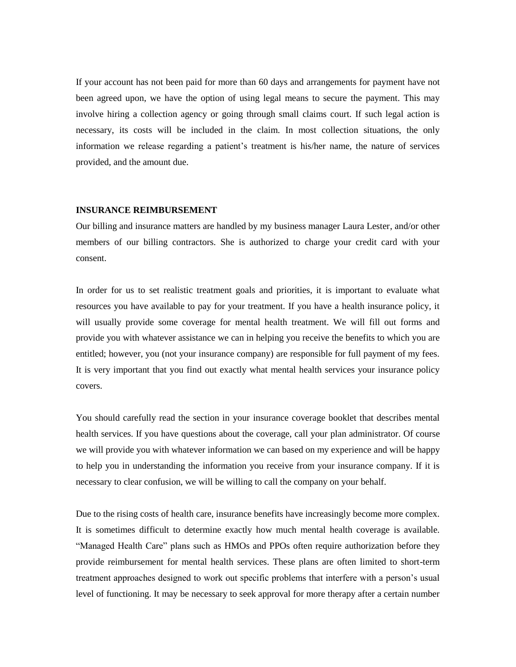If your account has not been paid for more than 60 days and arrangements for payment have not been agreed upon, we have the option of using legal means to secure the payment. This may involve hiring a collection agency or going through small claims court. If such legal action is necessary, its costs will be included in the claim. In most collection situations, the only information we release regarding a patient's treatment is his/her name, the nature of services provided, and the amount due.

#### **INSURANCE REIMBURSEMENT**

Our billing and insurance matters are handled by my business manager Laura Lester, and/or other members of our billing contractors. She is authorized to charge your credit card with your consent.

In order for us to set realistic treatment goals and priorities, it is important to evaluate what resources you have available to pay for your treatment. If you have a health insurance policy, it will usually provide some coverage for mental health treatment. We will fill out forms and provide you with whatever assistance we can in helping you receive the benefits to which you are entitled; however, you (not your insurance company) are responsible for full payment of my fees. It is very important that you find out exactly what mental health services your insurance policy covers.

You should carefully read the section in your insurance coverage booklet that describes mental health services. If you have questions about the coverage, call your plan administrator. Of course we will provide you with whatever information we can based on my experience and will be happy to help you in understanding the information you receive from your insurance company. If it is necessary to clear confusion, we will be willing to call the company on your behalf.

Due to the rising costs of health care, insurance benefits have increasingly become more complex. It is sometimes difficult to determine exactly how much mental health coverage is available. "Managed Health Care" plans such as HMOs and PPOs often require authorization before they provide reimbursement for mental health services. These plans are often limited to short-term treatment approaches designed to work out specific problems that interfere with a person's usual level of functioning. It may be necessary to seek approval for more therapy after a certain number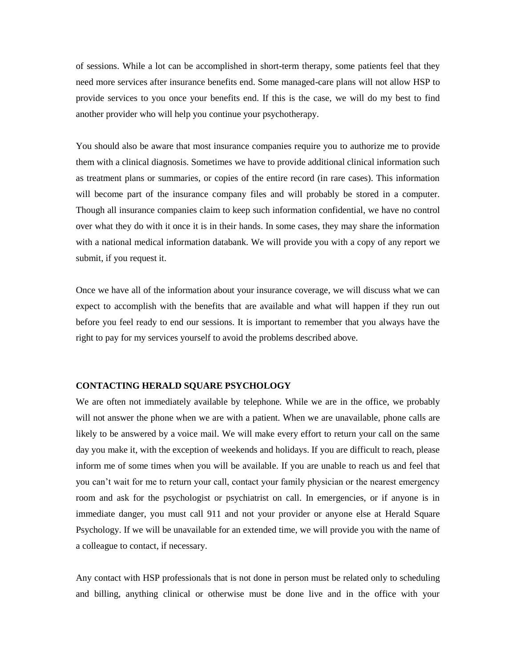of sessions. While a lot can be accomplished in short-term therapy, some patients feel that they need more services after insurance benefits end. Some managed-care plans will not allow HSP to provide services to you once your benefits end. If this is the case, we will do my best to find another provider who will help you continue your psychotherapy.

You should also be aware that most insurance companies require you to authorize me to provide them with a clinical diagnosis. Sometimes we have to provide additional clinical information such as treatment plans or summaries, or copies of the entire record (in rare cases). This information will become part of the insurance company files and will probably be stored in a computer. Though all insurance companies claim to keep such information confidential, we have no control over what they do with it once it is in their hands. In some cases, they may share the information with a national medical information databank. We will provide you with a copy of any report we submit, if you request it.

Once we have all of the information about your insurance coverage, we will discuss what we can expect to accomplish with the benefits that are available and what will happen if they run out before you feel ready to end our sessions. It is important to remember that you always have the right to pay for my services yourself to avoid the problems described above.

#### **CONTACTING HERALD SQUARE PSYCHOLOGY**

We are often not immediately available by telephone. While we are in the office, we probably will not answer the phone when we are with a patient. When we are unavailable, phone calls are likely to be answered by a voice mail. We will make every effort to return your call on the same day you make it, with the exception of weekends and holidays. If you are difficult to reach, please inform me of some times when you will be available. If you are unable to reach us and feel that you can't wait for me to return your call, contact your family physician or the nearest emergency room and ask for the psychologist or psychiatrist on call. In emergencies, or if anyone is in immediate danger, you must call 911 and not your provider or anyone else at Herald Square Psychology. If we will be unavailable for an extended time, we will provide you with the name of a colleague to contact, if necessary.

Any contact with HSP professionals that is not done in person must be related only to scheduling and billing, anything clinical or otherwise must be done live and in the office with your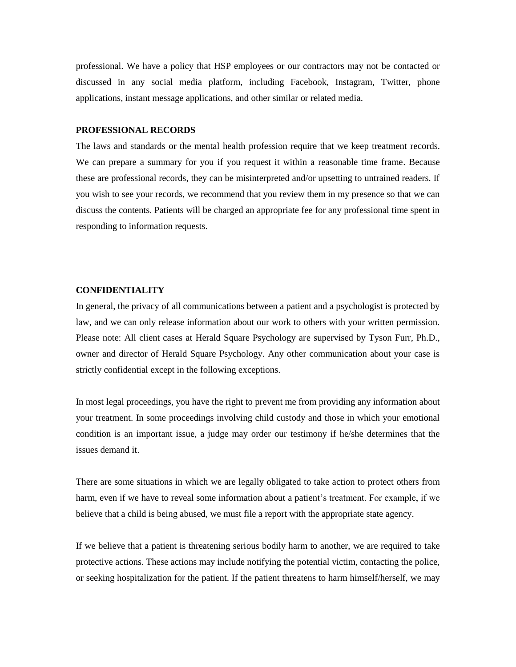professional. We have a policy that HSP employees or our contractors may not be contacted or discussed in any social media platform, including Facebook, Instagram, Twitter, phone applications, instant message applications, and other similar or related media.

# **PROFESSIONAL RECORDS**

The laws and standards or the mental health profession require that we keep treatment records. We can prepare a summary for you if you request it within a reasonable time frame. Because these are professional records, they can be misinterpreted and/or upsetting to untrained readers. If you wish to see your records, we recommend that you review them in my presence so that we can discuss the contents. Patients will be charged an appropriate fee for any professional time spent in responding to information requests.

## **CONFIDENTIALITY**

In general, the privacy of all communications between a patient and a psychologist is protected by law, and we can only release information about our work to others with your written permission. Please note: All client cases at Herald Square Psychology are supervised by Tyson Furr, Ph.D., owner and director of Herald Square Psychology. Any other communication about your case is strictly confidential except in the following exceptions.

In most legal proceedings, you have the right to prevent me from providing any information about your treatment. In some proceedings involving child custody and those in which your emotional condition is an important issue, a judge may order our testimony if he/she determines that the issues demand it.

There are some situations in which we are legally obligated to take action to protect others from harm, even if we have to reveal some information about a patient's treatment. For example, if we believe that a child is being abused, we must file a report with the appropriate state agency.

If we believe that a patient is threatening serious bodily harm to another, we are required to take protective actions. These actions may include notifying the potential victim, contacting the police, or seeking hospitalization for the patient. If the patient threatens to harm himself/herself, we may